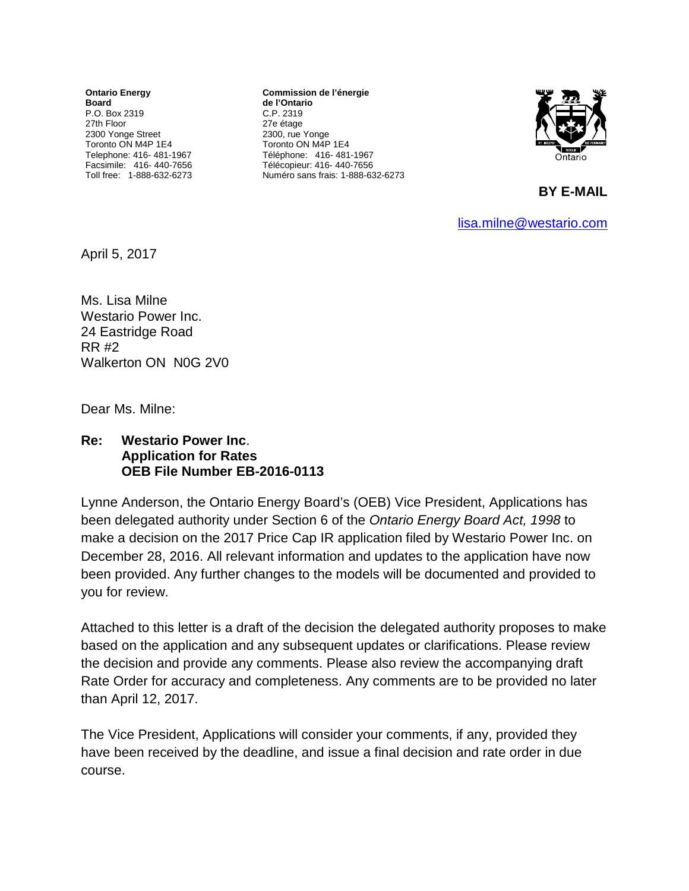**Ontario Energy Board** P.O. Box 2319 27th Floor 2300 Yonge Street Toronto ON M4P 1E4 Telephone: 416- 481-1967 Facsimile: 416- 440-7656 Toll free: 1-888-632-6273

**Commission de l'énergie de l'Ontario** C.P. 2319 27e étage 2300, rue Yonge Toronto ON M4P 1E4 Téléphone: 416- 481-1967 Télécopieur: 416- 440-7656 Numéro sans frais: 1-888-632-6273



**BY E-MAIL** 

[lisa.milne@westario.com](mailto:lisa.milne@westario.com)

April 5, 2017

Ms. Lisa Milne Westario Power Inc. 24 Eastridge Road RR #2 Walkerton ON N0G 2V0

Dear Ms. Milne:

## **Re: Westario Power Inc**. **Application for Rates OEB File Number EB-2016-0113**

Lynne Anderson, the Ontario Energy Board's (OEB) Vice President, Applications has been delegated authority under Section 6 of the *Ontario Energy Board Act, 1998* to make a decision on the 2017 Price Cap IR application filed by Westario Power Inc. on December 28, 2016. All relevant information and updates to the application have now been provided. Any further changes to the models will be documented and provided to you for review.

Attached to this letter is a draft of the decision the delegated authority proposes to make based on the application and any subsequent updates or clarifications. Please review the decision and provide any comments. Please also review the accompanying draft Rate Order for accuracy and completeness. Any comments are to be provided no later than April 12, 2017.

The Vice President, Applications will consider your comments, if any, provided they have been received by the deadline, and issue a final decision and rate order in due course.